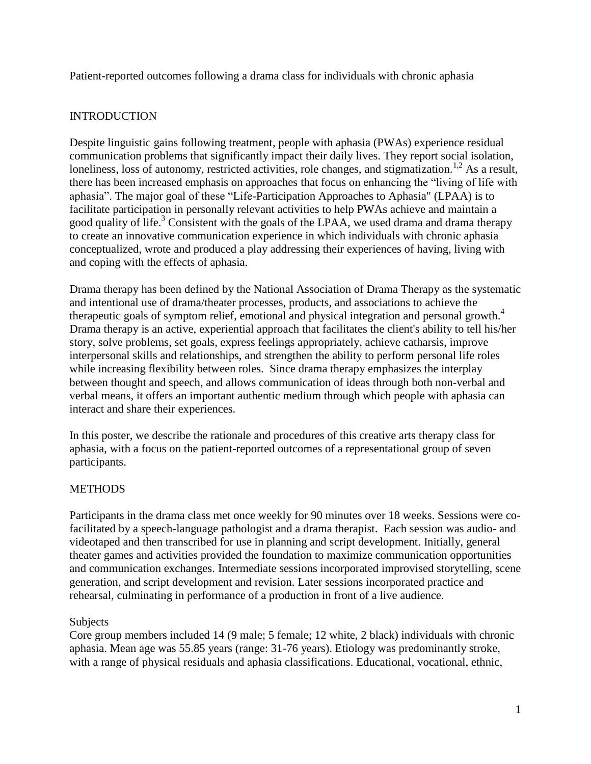Patient-reported outcomes following a drama class for individuals with chronic aphasia

# **INTRODUCTION**

Despite linguistic gains following treatment, people with aphasia (PWAs) experience residual communication problems that significantly impact their daily lives. They report social isolation, loneliness, loss of autonomy, restricted activities, role changes, and stigmatization.<sup>1,2</sup> As a result, there has been increased emphasis on approaches that focus on enhancing the "living of life with aphasia". The major goal of these "Life-Participation Approaches to Aphasia" (LPAA) is to facilitate participation in personally relevant activities to help PWAs achieve and maintain a good quality of life.<sup>3</sup> Consistent with the goals of the LPAA, we used drama and drama therapy to create an innovative communication experience in which individuals with chronic aphasia conceptualized, wrote and produced a play addressing their experiences of having, living with and coping with the effects of aphasia.

Drama therapy has been defined by the National Association of Drama Therapy as the systematic and intentional use of drama/theater processes, products, and associations to achieve the therapeutic goals of symptom relief, emotional and physical integration and personal growth.<sup>4</sup> Drama therapy is an active, experiential approach that facilitates the client's ability to tell his/her story, solve problems, set goals, express feelings appropriately, achieve catharsis, improve interpersonal skills and relationships, and strengthen the ability to perform personal life roles while increasing flexibility between roles. Since drama therapy emphasizes the interplay between thought and speech, and allows communication of ideas through both non-verbal and verbal means, it offers an important authentic medium through which people with aphasia can interact and share their experiences.

In this poster, we describe the rationale and procedures of this creative arts therapy class for aphasia, with a focus on the patient-reported outcomes of a representational group of seven participants.

## **METHODS**

Participants in the drama class met once weekly for 90 minutes over 18 weeks. Sessions were cofacilitated by a speech-language pathologist and a drama therapist. Each session was audio- and videotaped and then transcribed for use in planning and script development. Initially, general theater games and activities provided the foundation to maximize communication opportunities and communication exchanges. Intermediate sessions incorporated improvised storytelling, scene generation, and script development and revision. Later sessions incorporated practice and rehearsal, culminating in performance of a production in front of a live audience.

## **Subjects**

Core group members included 14 (9 male; 5 female; 12 white, 2 black) individuals with chronic aphasia. Mean age was 55.85 years (range: 31-76 years). Etiology was predominantly stroke, with a range of physical residuals and aphasia classifications. Educational, vocational, ethnic,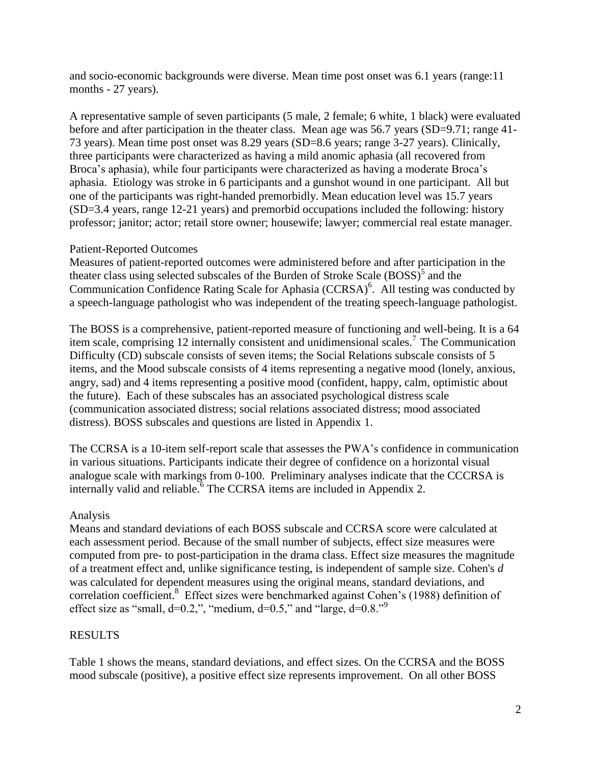and socio-economic backgrounds were diverse. Mean time post onset was 6.1 years (range:11 months - 27 years).

A representative sample of seven participants (5 male, 2 female; 6 white, 1 black) were evaluated before and after participation in the theater class. Mean age was 56.7 years (SD=9.71; range 41-73 years). Mean time post onset was 8.29 years (SD=8.6 years; range 3-27 years). Clinically, three participants were characterized as having a mild anomic aphasia (all recovered from Broca's aphasia), while four participants were characterized as having a moderate Broca's aphasia. Etiology was stroke in 6 participants and a gunshot wound in one participant. All but one of the participants was right-handed premorbidly. Mean education level was 15.7 years (SD=3.4 years, range 12-21 years) and premorbid occupations included the following: history professor; janitor; actor; retail store owner; housewife; lawyer; commercial real estate manager.

#### Patient-Reported Outcomes

Measures of patient-reported outcomes were administered before and after participation in the theater class using selected subscales of the Burden of Stroke Scale  $(BOSS)^5$  and the Communication Confidence Rating Scale for Aphasia  $(CCRSA)^6$ . All testing was conducted by a speech-language pathologist who was independent of the treating speech-language pathologist.

The BOSS is a comprehensive, patient-reported measure of functioning and well-being. It is a 64 item scale, comprising 12 internally consistent and unidimensional scales.<sup>7</sup> The Communication Difficulty (CD) subscale consists of seven items; the Social Relations subscale consists of 5 items, and the Mood subscale consists of 4 items representing a negative mood (lonely, anxious, angry, sad) and 4 items representing a positive mood (confident, happy, calm, optimistic about the future). Each of these subscales has an associated psychological distress scale (communication associated distress; social relations associated distress; mood associated distress). BOSS subscales and questions are listed in Appendix 1.

The CCRSA is a 10-item self-report scale that assesses the PWA's confidence in communication in various situations. Participants indicate their degree of confidence on a horizontal visual analogue scale with markings from 0-100. Preliminary analyses indicate that the CCCRSA is internally valid and reliable.  $6$  The CCRSA items are included in Appendix 2.

#### Analysis

Means and standard deviations of each BOSS subscale and CCRSA score were calculated at each assessment period. Because of the small number of subjects, effect size measures were computed from pre- to post-participation in the drama class. Effect size measures the magnitude of a treatment effect and, unlike significance testing, is independent of sample size. Cohen's *d* was calculated for dependent measures using the original means, standard deviations, and correlation coefficient.<sup>8</sup> Effect sizes were benchmarked against Cohen's (1988) definition of effect size as "small,  $d=0.2$ ,", "medium,  $d=0.5$ ," and "large,  $d=0.8$ ."<sup>9</sup>

#### RESULTS

Table 1 shows the means, standard deviations, and effect sizes. On the CCRSA and the BOSS mood subscale (positive), a positive effect size represents improvement. On all other BOSS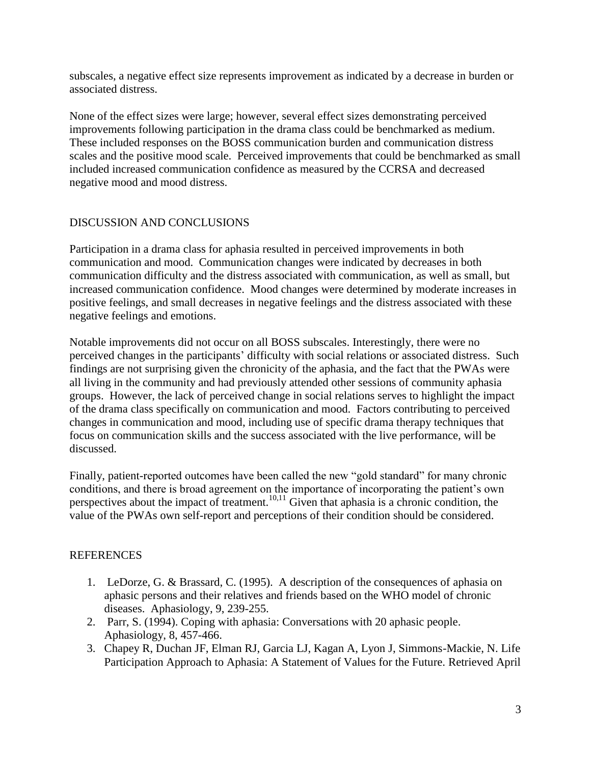subscales, a negative effect size represents improvement as indicated by a decrease in burden or associated distress.

None of the effect sizes were large; however, several effect sizes demonstrating perceived improvements following participation in the drama class could be benchmarked as medium. These included responses on the BOSS communication burden and communication distress scales and the positive mood scale. Perceived improvements that could be benchmarked as small included increased communication confidence as measured by the CCRSA and decreased negative mood and mood distress.

## DISCUSSION AND CONCLUSIONS

Participation in a drama class for aphasia resulted in perceived improvements in both communication and mood. Communication changes were indicated by decreases in both communication difficulty and the distress associated with communication, as well as small, but increased communication confidence. Mood changes were determined by moderate increases in positive feelings, and small decreases in negative feelings and the distress associated with these negative feelings and emotions.

Notable improvements did not occur on all BOSS subscales. Interestingly, there were no perceived changes in the participants' difficulty with social relations or associated distress. Such findings are not surprising given the chronicity of the aphasia, and the fact that the PWAs were all living in the community and had previously attended other sessions of community aphasia groups. However, the lack of perceived change in social relations serves to highlight the impact of the drama class specifically on communication and mood. Factors contributing to perceived changes in communication and mood, including use of specific drama therapy techniques that focus on communication skills and the success associated with the live performance, will be discussed.

Finally, patient-reported outcomes have been called the new "gold standard" for many chronic conditions, and there is broad agreement on the importance of incorporating the patient's own perspectives about the impact of treatment.<sup>10,11</sup> Given that aphasia is a chronic condition, the value of the PWAs own self-report and perceptions of their condition should be considered.

## REFERENCES

- 1. LeDorze, G. & Brassard, C. (1995). A description of the consequences of aphasia on aphasic persons and their relatives and friends based on the WHO model of chronic diseases. Aphasiology, 9, 239-255.
- 2. Parr, S. (1994). Coping with aphasia: Conversations with 20 aphasic people. Aphasiology, 8, 457-466.
- 3. Chapey R, Duchan JF, Elman RJ, Garcia LJ, Kagan A, Lyon J, Simmons-Mackie, N. Life Participation Approach to Aphasia: A Statement of Values for the Future. Retrieved April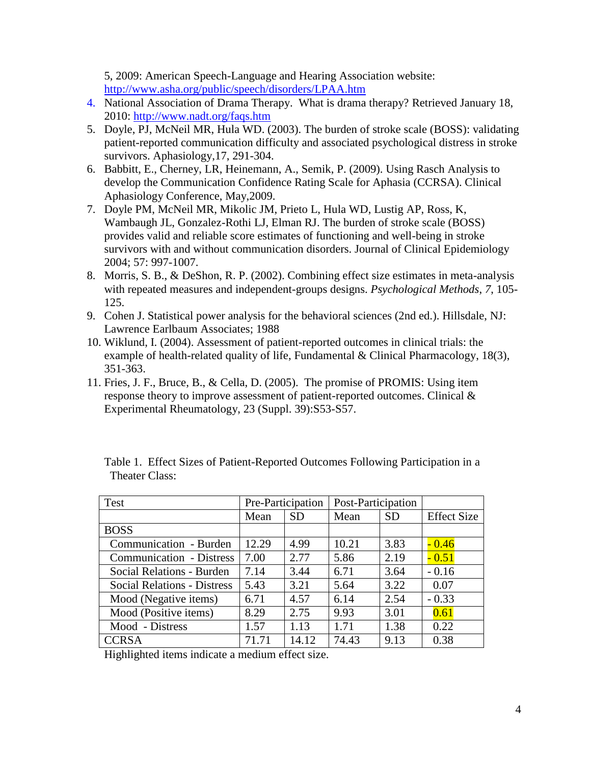5, 2009: American Speech-Language and Hearing Association website: <http://www.asha.org/public/speech/disorders/LPAA.htm>

- 4. National Association of Drama Therapy. What is drama therapy? Retrieved January 18, 2010:<http://www.nadt.org/faqs.htm>
- 5. Doyle, PJ, McNeil MR, Hula WD. (2003). The burden of stroke scale (BOSS): validating patient-reported communication difficulty and associated psychological distress in stroke survivors. Aphasiology,17, 291-304.
- 6. Babbitt, E., Cherney, LR, Heinemann, A., Semik, P. (2009). Using Rasch Analysis to develop the Communication Confidence Rating Scale for Aphasia (CCRSA). Clinical Aphasiology Conference, May,2009.
- 7. Doyle PM, McNeil MR, Mikolic JM, Prieto L, Hula WD, Lustig AP, Ross, K, Wambaugh JL, Gonzalez-Rothi LJ, Elman RJ. The burden of stroke scale (BOSS) provides valid and reliable score estimates of functioning and well-being in stroke survivors with and without communication disorders. Journal of Clinical Epidemiology 2004; 57: 997-1007.
- 8. Morris, S. B., & DeShon, R. P. (2002). Combining effect size estimates in meta-analysis with repeated measures and independent-groups designs. *Psychological Methods*, *7*, 105- 125.
- 9. Cohen J. Statistical power analysis for the behavioral sciences (2nd ed.). Hillsdale, NJ: Lawrence Earlbaum Associates; 1988
- 10. Wiklund, I. (2004). Assessment of patient-reported outcomes in clinical trials: the example of health-related quality of life, [Fundamental & Clinical Pharmacology,](http://www3.interscience.wiley.com/journal/117978161/home) 18(3), 351-363.
- 11. Fries, J. F., Bruce, B., & Cella, D. (2005). The promise of PROMIS: Using item response theory to improve assessment of patient-reported outcomes. Clinical & Experimental Rheumatology, 23 (Suppl. 39):S53-S57.

| Test                               | Pre-Participation |           | Post-Participation |           |                    |
|------------------------------------|-------------------|-----------|--------------------|-----------|--------------------|
|                                    | Mean              | <b>SD</b> | Mean               | <b>SD</b> | <b>Effect Size</b> |
| <b>BOSS</b>                        |                   |           |                    |           |                    |
| Communication - Burden             | 12.29             | 4.99      | 10.21              | 3.83      | $-0.46$            |
| <b>Communication - Distress</b>    | 7.00              | 2.77      | 5.86               | 2.19      | $-0.51$            |
| Social Relations - Burden          | 7.14              | 3.44      | 6.71               | 3.64      | $-0.16$            |
| <b>Social Relations - Distress</b> | 5.43              | 3.21      | 5.64               | 3.22      | 0.07               |
| Mood (Negative items)              | 6.71              | 4.57      | 6.14               | 2.54      | $-0.33$            |
| Mood (Positive items)              | 8.29              | 2.75      | 9.93               | 3.01      | 0.61               |
| Mood - Distress                    | 1.57              | 1.13      | 1.71               | 1.38      | 0.22               |
| <b>CCRSA</b>                       | 71.71             | 14.12     | 74.43              | 9.13      | 0.38               |

Table 1. Effect Sizes of Patient-Reported Outcomes Following Participation in a Theater Class:

Highlighted items indicate a medium effect size.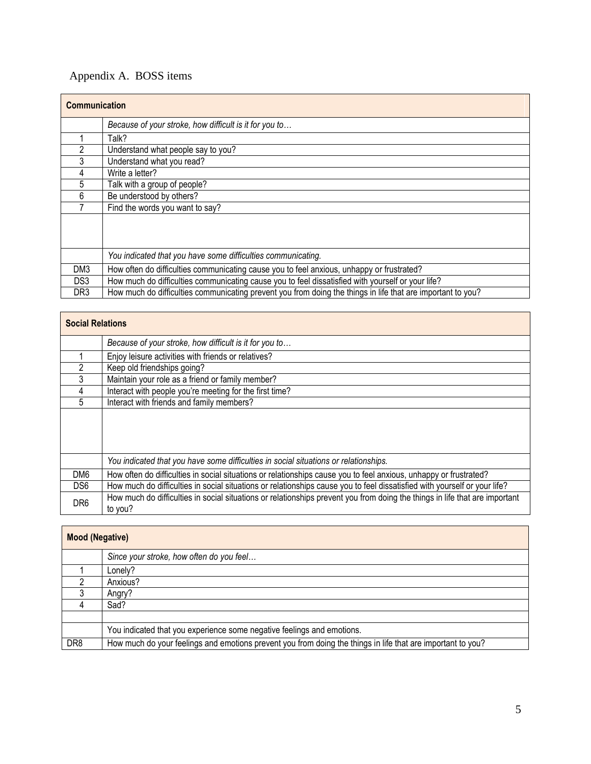# Appendix A. BOSS items

| <b>Communication</b> |                                                                                                             |  |  |  |
|----------------------|-------------------------------------------------------------------------------------------------------------|--|--|--|
|                      | Because of your stroke, how difficult is it for you to                                                      |  |  |  |
|                      | Talk?                                                                                                       |  |  |  |
| 2                    | Understand what people say to you?                                                                          |  |  |  |
| 3                    | Understand what you read?                                                                                   |  |  |  |
| 4                    | Write a letter?                                                                                             |  |  |  |
| 5                    | Talk with a group of people?                                                                                |  |  |  |
| 6                    | Be understood by others?                                                                                    |  |  |  |
|                      | Find the words you want to say?                                                                             |  |  |  |
|                      |                                                                                                             |  |  |  |
|                      |                                                                                                             |  |  |  |
|                      | You indicated that you have some difficulties communicating.                                                |  |  |  |
| DM3                  | How often do difficulties communicating cause you to feel anxious, unhappy or frustrated?                   |  |  |  |
| DS3                  | How much do difficulties communicating cause you to feel dissatisfied with yourself or your life?           |  |  |  |
| DR3                  | How much do difficulties communicating prevent you from doing the things in life that are important to you? |  |  |  |

| <b>Social Relations</b> |                                                                                                                                        |  |  |
|-------------------------|----------------------------------------------------------------------------------------------------------------------------------------|--|--|
|                         | Because of your stroke, how difficult is it for you to                                                                                 |  |  |
|                         | Enjoy leisure activities with friends or relatives?                                                                                    |  |  |
| $\mathfrak{p}$          | Keep old friendships going?                                                                                                            |  |  |
| 3                       | Maintain your role as a friend or family member?                                                                                       |  |  |
| 4                       | Interact with people you're meeting for the first time?                                                                                |  |  |
| 5                       | Interact with friends and family members?                                                                                              |  |  |
|                         |                                                                                                                                        |  |  |
|                         | You indicated that you have some difficulties in social situations or relationships.                                                   |  |  |
| DM6                     | How often do difficulties in social situations or relationships cause you to feel anxious, unhappy or frustrated?                      |  |  |
| DS <sub>6</sub>         | How much do difficulties in social situations or relationships cause you to feel dissatisfied with yourself or your life?              |  |  |
| DR <sub>6</sub>         | How much do difficulties in social situations or relationships prevent you from doing the things in life that are important<br>to you? |  |  |

| <b>Mood (Negative)</b> |                                                                                                             |  |  |  |
|------------------------|-------------------------------------------------------------------------------------------------------------|--|--|--|
|                        | Since your stroke, how often do you feel                                                                    |  |  |  |
|                        | Lonely?                                                                                                     |  |  |  |
|                        | Anxious?                                                                                                    |  |  |  |
|                        | Angry?                                                                                                      |  |  |  |
|                        | Sad?                                                                                                        |  |  |  |
|                        |                                                                                                             |  |  |  |
|                        | You indicated that you experience some negative feelings and emotions.                                      |  |  |  |
| DR <sub>8</sub>        | How much do your feelings and emotions prevent you from doing the things in life that are important to you? |  |  |  |